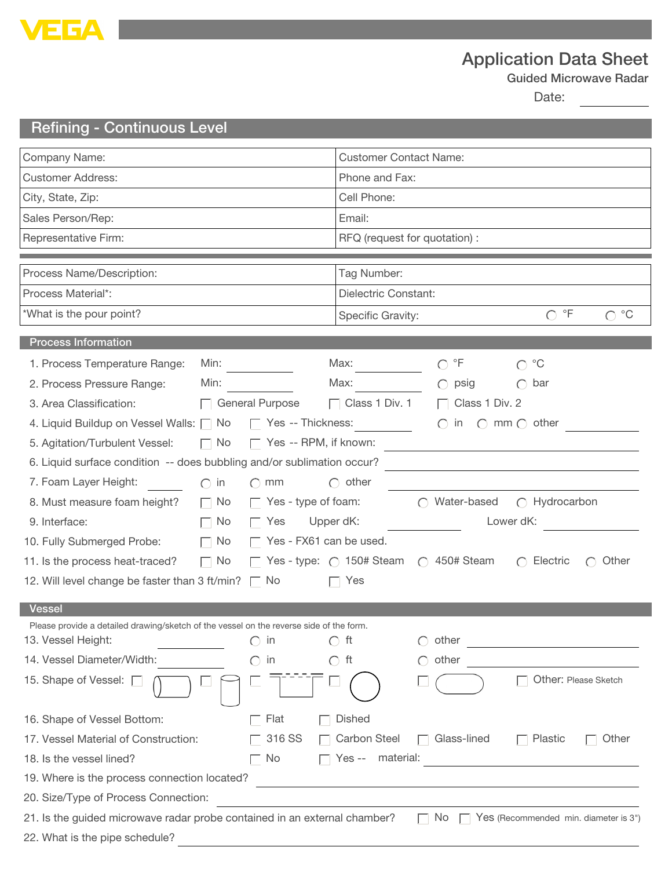

## Application Data Sheet

Guided Microwave Radar

Date:

## Refining - Continuous Level

| Company Name:                                                                                                                    |                                                                                                                      | <b>Customer Contact Name:</b>                                   |                                                         |                                             |  |  |
|----------------------------------------------------------------------------------------------------------------------------------|----------------------------------------------------------------------------------------------------------------------|-----------------------------------------------------------------|---------------------------------------------------------|---------------------------------------------|--|--|
| <b>Customer Address:</b>                                                                                                         |                                                                                                                      | Phone and Fax:                                                  |                                                         |                                             |  |  |
| City, State, Zip:                                                                                                                |                                                                                                                      | Cell Phone:                                                     |                                                         |                                             |  |  |
| Sales Person/Rep:                                                                                                                |                                                                                                                      | Email:                                                          |                                                         |                                             |  |  |
| Representative Firm:                                                                                                             |                                                                                                                      | RFQ (request for quotation) :                                   |                                                         |                                             |  |  |
|                                                                                                                                  |                                                                                                                      |                                                                 |                                                         |                                             |  |  |
| Process Name/Description:                                                                                                        |                                                                                                                      | Tag Number:                                                     |                                                         |                                             |  |  |
| Process Material*:                                                                                                               |                                                                                                                      | Dielectric Constant:                                            |                                                         |                                             |  |  |
| *What is the pour point?                                                                                                         |                                                                                                                      | $\circ$ F<br>$^{\circ}C$<br>$\bigcap$<br>◯<br>Specific Gravity: |                                                         |                                             |  |  |
| <b>Process Information</b>                                                                                                       |                                                                                                                      |                                                                 |                                                         |                                             |  |  |
| 1. Process Temperature Range:<br>Min:                                                                                            |                                                                                                                      | Max:                                                            | $\mathsf{P}\mathsf{F}$<br>∩                             | $^{\circ}C$<br>$\bigcap$                    |  |  |
| Min:<br>2. Process Pressure Range:                                                                                               |                                                                                                                      | Max:                                                            | psig                                                    | bar<br>$\bigcirc$                           |  |  |
| 3. Area Classification:                                                                                                          | $\Box$ General Purpose                                                                                               | $\Box$ Class 1 Div. 1                                           | Class 1 Div. 2<br>$\Box$                                |                                             |  |  |
|                                                                                                                                  | $\Box$ Yes -- Thickness:<br>$\bigcirc$ in $\bigcirc$ mm $\bigcirc$ other<br>4. Liquid Buildup on Vessel Walls: \[ No |                                                                 |                                                         |                                             |  |  |
| $\Box$ No<br>$\Box$ Yes -- RPM, if known:<br>5. Agitation/Turbulent Vessel:                                                      |                                                                                                                      |                                                                 |                                                         |                                             |  |  |
| 6. Liquid surface condition -- does bubbling and/or sublimation occur?                                                           |                                                                                                                      |                                                                 |                                                         |                                             |  |  |
| 7. Foam Layer Height:<br>$\bigcap$ in                                                                                            | $\bigcap$ mm                                                                                                         | $\bigcap$ other                                                 |                                                         |                                             |  |  |
| 8. Must measure foam height?<br>$\Box$ No                                                                                        | $\Box$ Yes - type of foam:                                                                                           |                                                                 | $\bigcap$ Water-based                                   | $\bigcap$ Hydrocarbon                       |  |  |
| $\Box$ No<br>9. Interface:                                                                                                       | Yes<br>$\mathbf{L}$                                                                                                  | Upper dK:                                                       | Lower dK:                                               |                                             |  |  |
| 10. Fully Submerged Probe:<br>$\mathbf{L}$                                                                                       | $\Box$ Yes - FX61 can be used.<br>No                                                                                 |                                                                 |                                                         |                                             |  |  |
| $\Box$ No<br>11. Is the process heat-traced?                                                                                     |                                                                                                                      |                                                                 | Yes - type: $\bigcirc$ 150# Steam $\bigcirc$ 450# Steam | Electric<br>$\bigcap$<br>Other<br>$\bigcap$ |  |  |
| 12. Will level change be faster than 3 ft/min? $\Box$ No<br>Yes<br>$\mathbf{I}$                                                  |                                                                                                                      |                                                                 |                                                         |                                             |  |  |
| Vessel                                                                                                                           |                                                                                                                      |                                                                 |                                                         |                                             |  |  |
| Please provide a detailed drawing/sketch of the vessel on the reverse side of the form.                                          |                                                                                                                      |                                                                 |                                                         |                                             |  |  |
| 13. Vessel Height:                                                                                                               | in                                                                                                                   | $\bigcap$ ft                                                    | other                                                   |                                             |  |  |
| 14. Vessel Diameter/Width:                                                                                                       | in                                                                                                                   | $\bigcap$ ft                                                    | other                                                   |                                             |  |  |
| 15. Shape of Vessel: $\Box$                                                                                                      |                                                                                                                      |                                                                 |                                                         | Other: Please Sketch                        |  |  |
| 16. Shape of Vessel Bottom:                                                                                                      | Flat                                                                                                                 | <b>Dished</b>                                                   |                                                         |                                             |  |  |
| 17. Vessel Material of Construction:<br>316 SS                                                                                   |                                                                                                                      | Carbon Steel                                                    | Glass-lined                                             | Plastic<br>Other                            |  |  |
| Yes -- material:<br>18. Is the vessel lined?<br>No                                                                               |                                                                                                                      |                                                                 |                                                         |                                             |  |  |
| 19. Where is the process connection located?                                                                                     |                                                                                                                      |                                                                 |                                                         |                                             |  |  |
| 20. Size/Type of Process Connection:                                                                                             |                                                                                                                      |                                                                 |                                                         |                                             |  |  |
| 21. Is the guided microwave radar probe contained in an external chamber?<br>No.<br>$\Box$ Yes (Recommended min. diameter is 3") |                                                                                                                      |                                                                 |                                                         |                                             |  |  |
| 22. What is the pipe schedule?                                                                                                   |                                                                                                                      |                                                                 |                                                         |                                             |  |  |